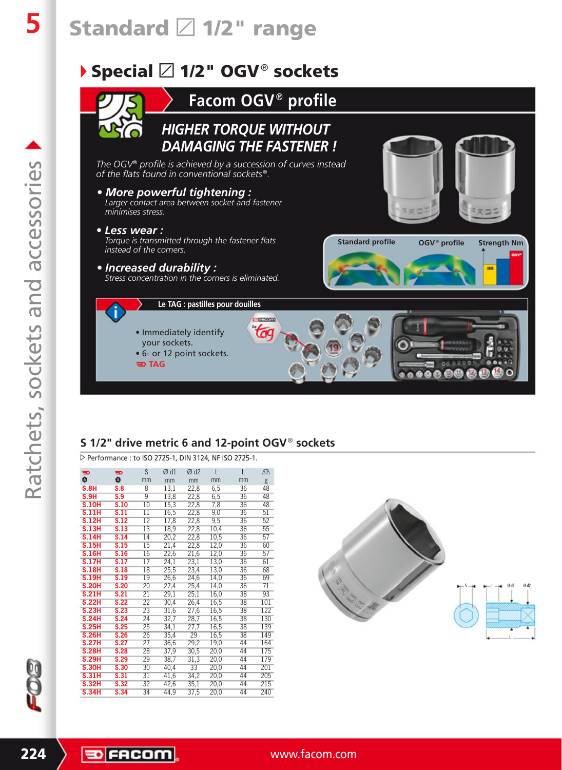# **Standard** L **1/2" range**

### ▶ Special  $\boxtimes$  1/2" OGV<sup>®</sup> sockets **Facom OGV<sup>®</sup> profile** *HIGHER TORQUE WITHOUT DAMAGING THE FASTENER ! The OGV® profile is achieved by a succession of curves instead of the flats found in conventional sockets*J*. • More powerful tightening : Larger contact area between socket and fastener minimises stress. • Less wear : Torque is transmitted through the fastener flats*  **Standard profile OGV**<sup>®</sup> profile **Strength Nm** *instead of the corners. • Increased durability : Stress concentration in the corners is eliminated.*  **Le TAG : pastilles pour douilles**  $\overline{t}$ • Immediately identify your sockets. • 6- or 12 point sockets. **三**TAG

### **S 1/2" drive metric 6 and 12-point OGV<sup>®</sup> sockets**

W Performance : to ISO 2725-1, DIN 3124, NF ISO 2725-1.

| $\equiv$     | $\mathbf{v}$               | S               | $\varnothing$ d1 | $\varnothing$ d2 | t    | L               | Δ心              |
|--------------|----------------------------|-----------------|------------------|------------------|------|-----------------|-----------------|
| O            | 舂                          | mm              | mm               | mm               | mm   | mm              | g               |
| S.8H         | S.8                        | 8               | 13,1             | 22,8             | 6,5  | 36              | 48              |
| S.9H         | S.9                        | $\overline{9}$  | 13,8             | 22,8             | 6,5  | 36              | 48              |
| <b>S.10H</b> | S.10                       | 10              | 15,3             | 22,8             | 7,8  | 36              | 48              |
| <b>S.11H</b> | S.11                       | $\overline{11}$ | 16,5             | 22,8             | 9,0  | 36              | 51              |
| <b>S.12H</b> | S.12                       | $\overline{12}$ | 17,8             | 22,8             | 9,5  | 36              | 52              |
| <b>S.13H</b> | $\overline{\textbf{S}.13}$ | $\overline{13}$ | 18,9             | 22,8             | 10,4 | 36              | 55              |
| <b>S.14H</b> | S.14                       | 14              | 20,2             | 22,8             | 10,5 | 36              | 57              |
| <b>S.15H</b> | S.15                       | 15              | 21,4             | 22,8             | 12,0 | 36              | 60              |
| <b>S.16H</b> | S.16                       | 16              | 22,6             | 21,6             | 12,0 | $\overline{36}$ | $\overline{57}$ |
| <b>S.17H</b> | S.17                       | $\overline{17}$ | 24,1             | 23,1             | 13,0 | 36              | 61              |
| <b>S.18H</b> | S.18                       | 18              | 25,5             | 23,4             | 13,0 | 36              | 68              |
| <b>S.19H</b> | S.19                       | 19              | 26,6             | 24,6             | 14,0 | 36              | 69              |
| <b>S.20H</b> | S.20                       | $\overline{20}$ | 27,4             | 25,4             | 14,0 | 36              | 71              |
| <b>S.21H</b> | S.21                       | 21              | 29,1             | 25,1             | 16,0 | 38              | 93              |
| <b>S.22H</b> | S.22                       | 22              | 30,4             | 26,4             | 16,5 | 38              | 101             |
| <b>S.23H</b> | S.23                       | $\overline{23}$ | 31,6             | 27,6             | 16,5 | 38              | 122             |
| <b>S.24H</b> | S.24                       | 24              | 32,7             | 28,7             | 16,5 | $\overline{38}$ | 130             |
| <b>S.25H</b> | S.25                       | 25              | 34,1             | 27,7             | 16,5 | 38              | 139             |
| <b>S.26H</b> | S.26                       | 26              | 35,4             | 29               | 16,5 | 38              | 149             |
| <b>S.27H</b> | S.27                       | $\overline{27}$ | 36,6             | 29,2             | 19,0 | 44              | 164             |
| <b>S.28H</b> | S.28                       | 28              | 37,9             | 30,5             | 20,0 | 44              | 175             |
| <b>S.29H</b> | S.29                       | 29              | 38,7             | 31,3             | 20,0 | 44              | 179             |
| <b>S.30H</b> | S.30                       | 30              | 40,4             | $\overline{33}$  | 20,0 | 44              | 201             |
| <b>S.31H</b> | S.31                       | 31              | 41,6             | 34,2             | 20,0 | 44              | 205             |
| <b>S.32H</b> | S.32                       | 32              | 42,6             | 35,1             | 20,0 | 44              | 215             |
| <b>S.34H</b> | S.34                       | 34              | 44,9             | 37,5             | 20,0 | 44              | 240             |
|              |                            |                 |                  |                  |      |                 |                 |